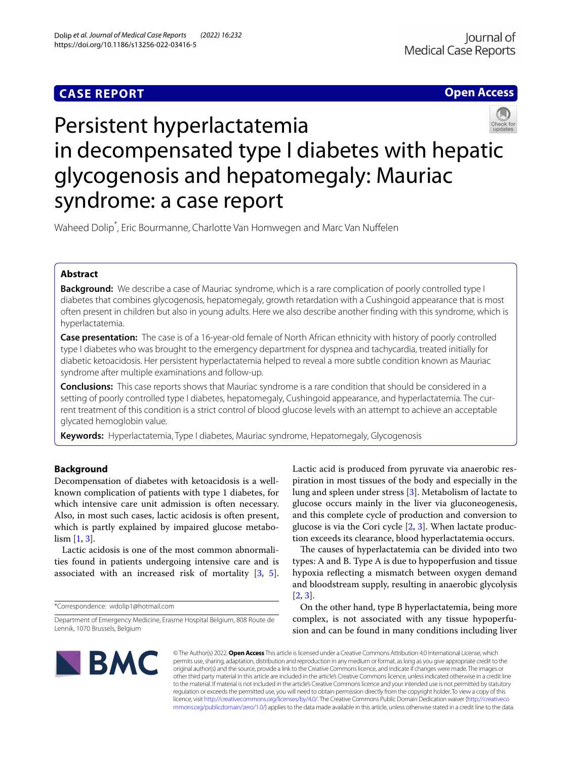## **CASE REPORT**

## **Open Access**



# Persistent hyperlactatemia in decompensated type I diabetes with hepatic glycogenosis and hepatomegaly: Mauriac syndrome: a case report

Waheed Dolip\* , Eric Bourmanne, Charlotte Van Homwegen and Marc Van Nufelen

### **Abstract**

**Background:** We describe a case of Mauriac syndrome, which is a rare complication of poorly controlled type I diabetes that combines glycogenosis, hepatomegaly, growth retardation with a Cushingoid appearance that is most often present in children but also in young adults. Here we also describe another fnding with this syndrome, which is hyperlactatemia.

**Case presentation:** The case is of a 16-year-old female of North African ethnicity with history of poorly controlled type I diabetes who was brought to the emergency department for dyspnea and tachycardia, treated initially for diabetic ketoacidosis. Her persistent hyperlactatemia helped to reveal a more subtle condition known as Mauriac syndrome after multiple examinations and follow-up.

**Conclusions:** This case reports shows that Mauriac syndrome is a rare condition that should be considered in a setting of poorly controlled type I diabetes, hepatomegaly, Cushingoid appearance, and hyperlactatemia. The current treatment of this condition is a strict control of blood glucose levels with an attempt to achieve an acceptable glycated hemoglobin value.

**Keywords:** Hyperlactatemia, Type I diabetes, Mauriac syndrome, Hepatomegaly, Glycogenosis

## **Background**

Decompensation of diabetes with ketoacidosis is a wellknown complication of patients with type 1 diabetes, for which intensive care unit admission is often necessary. Also, in most such cases, lactic acidosis is often present, which is partly explained by impaired glucose metabolism [\[1](#page-3-0), [3\]](#page-3-1).

Lactic acidosis is one of the most common abnormalities found in patients undergoing intensive care and is associated with an increased risk of mortality [[3,](#page-3-1) [5](#page-3-2)].

\*Correspondence: wdolip1@hotmail.com

Lactic acid is produced from pyruvate via anaerobic respiration in most tissues of the body and especially in the lung and spleen under stress [\[3](#page-3-1)]. Metabolism of lactate to glucose occurs mainly in the liver via gluconeogenesis, and this complete cycle of production and conversion to glucose is via the Cori cycle  $[2, 3]$  $[2, 3]$  $[2, 3]$  $[2, 3]$ . When lactate production exceeds its clearance, blood hyperlactatemia occurs.

The causes of hyperlactatemia can be divided into two types: A and B. Type A is due to hypoperfusion and tissue hypoxia refecting a mismatch between oxygen demand and bloodstream supply, resulting in anaerobic glycolysis [[2,](#page-3-3) [3](#page-3-1)].

On the other hand, type B hyperlactatemia, being more complex, is not associated with any tissue hypoperfusion and can be found in many conditions including liver



© The Author(s) 2022. **Open Access** This article is licensed under a Creative Commons Attribution 4.0 International License, which permits use, sharing, adaptation, distribution and reproduction in any medium or format, as long as you give appropriate credit to the original author(s) and the source, provide a link to the Creative Commons licence, and indicate if changes were made. The images or other third party material in this article are included in the article's Creative Commons licence, unless indicated otherwise in a credit line to the material. If material is not included in the article's Creative Commons licence and your intended use is not permitted by statutory regulation or exceeds the permitted use, you will need to obtain permission directly from the copyright holder. To view a copy of this licence, visit [http://creativecommons.org/licenses/by/4.0/.](http://creativecommons.org/licenses/by/4.0/) The Creative Commons Public Domain Dedication waiver ([http://creativeco](http://creativecommons.org/publicdomain/zero/1.0/) [mmons.org/publicdomain/zero/1.0/](http://creativecommons.org/publicdomain/zero/1.0/)) applies to the data made available in this article, unless otherwise stated in a credit line to the data.

Department of Emergency Medicine, Erasme Hospital Belgium, 808 Route de Lennik, 1070 Brussels, Belgium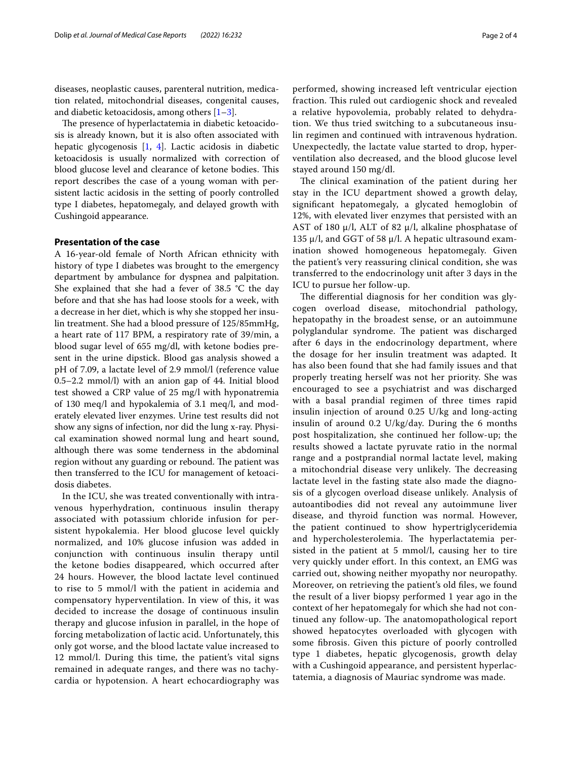diseases, neoplastic causes, parenteral nutrition, medication related, mitochondrial diseases, congenital causes, and diabetic ketoacidosis, among others  $[1-3]$  $[1-3]$ .

The presence of hyperlactatemia in diabetic ketoacidosis is already known, but it is also often associated with hepatic glycogenosis [[1,](#page-3-0) [4\]](#page-3-4). Lactic acidosis in diabetic ketoacidosis is usually normalized with correction of blood glucose level and clearance of ketone bodies. This report describes the case of a young woman with persistent lactic acidosis in the setting of poorly controlled type I diabetes, hepatomegaly, and delayed growth with Cushingoid appearance.

#### **Presentation of the case**

A 16-year-old female of North African ethnicity with history of type I diabetes was brought to the emergency department by ambulance for dyspnea and palpitation. She explained that she had a fever of 38.5 °C the day before and that she has had loose stools for a week, with a decrease in her diet, which is why she stopped her insulin treatment. She had a blood pressure of 125/85mmHg, a heart rate of 117 BPM, a respiratory rate of 39/min, a blood sugar level of 655 mg/dl, with ketone bodies present in the urine dipstick. Blood gas analysis showed a pH of 7.09, a lactate level of 2.9 mmol/l (reference value 0.5–2.2 mmol/l) with an anion gap of 44. Initial blood test showed a CRP value of 25 mg/l with hyponatremia of 130 meq/l and hypokalemia of 3.1 meq/l, and moderately elevated liver enzymes. Urine test results did not show any signs of infection, nor did the lung x-ray. Physical examination showed normal lung and heart sound, although there was some tenderness in the abdominal region without any guarding or rebound. The patient was then transferred to the ICU for management of ketoacidosis diabetes.

In the ICU, she was treated conventionally with intravenous hyperhydration, continuous insulin therapy associated with potassium chloride infusion for persistent hypokalemia. Her blood glucose level quickly normalized, and 10% glucose infusion was added in conjunction with continuous insulin therapy until the ketone bodies disappeared, which occurred after 24 hours. However, the blood lactate level continued to rise to 5 mmol/l with the patient in acidemia and compensatory hyperventilation. In view of this, it was decided to increase the dosage of continuous insulin therapy and glucose infusion in parallel, in the hope of forcing metabolization of lactic acid. Unfortunately, this only got worse, and the blood lactate value increased to 12 mmol/l. During this time, the patient's vital signs remained in adequate ranges, and there was no tachycardia or hypotension. A heart echocardiography was performed, showing increased left ventricular ejection fraction. This ruled out cardiogenic shock and revealed a relative hypovolemia, probably related to dehydration. We thus tried switching to a subcutaneous insulin regimen and continued with intravenous hydration. Unexpectedly, the lactate value started to drop, hyper-

stayed around 150 mg/dl. The clinical examination of the patient during her stay in the ICU department showed a growth delay, signifcant hepatomegaly, a glycated hemoglobin of 12%, with elevated liver enzymes that persisted with an AST of 180  $\mu$ /l, ALT of 82  $\mu$ /l, alkaline phosphatase of 135  $\mu$ /l, and GGT of 58  $\mu$ /l. A hepatic ultrasound examination showed homogeneous hepatomegaly. Given the patient's very reassuring clinical condition, she was transferred to the endocrinology unit after 3 days in the ICU to pursue her follow-up.

ventilation also decreased, and the blood glucose level

The differential diagnosis for her condition was glycogen overload disease, mitochondrial pathology, hepatopathy in the broadest sense, or an autoimmune polyglandular syndrome. The patient was discharged after 6 days in the endocrinology department, where the dosage for her insulin treatment was adapted. It has also been found that she had family issues and that properly treating herself was not her priority. She was encouraged to see a psychiatrist and was discharged with a basal prandial regimen of three times rapid insulin injection of around 0.25 U/kg and long-acting insulin of around 0.2 U/kg/day. During the 6 months post hospitalization, she continued her follow-up; the results showed a lactate pyruvate ratio in the normal range and a postprandial normal lactate level, making a mitochondrial disease very unlikely. The decreasing lactate level in the fasting state also made the diagnosis of a glycogen overload disease unlikely. Analysis of autoantibodies did not reveal any autoimmune liver disease, and thyroid function was normal. However, the patient continued to show hypertriglyceridemia and hypercholesterolemia. The hyperlactatemia persisted in the patient at 5 mmol/l, causing her to tire very quickly under effort. In this context, an EMG was carried out, showing neither myopathy nor neuropathy. Moreover, on retrieving the patient's old fles, we found the result of a liver biopsy performed 1 year ago in the context of her hepatomegaly for which she had not continued any follow-up. The anatomopathological report showed hepatocytes overloaded with glycogen with some fbrosis. Given this picture of poorly controlled type 1 diabetes, hepatic glycogenosis, growth delay with a Cushingoid appearance, and persistent hyperlactatemia, a diagnosis of Mauriac syndrome was made.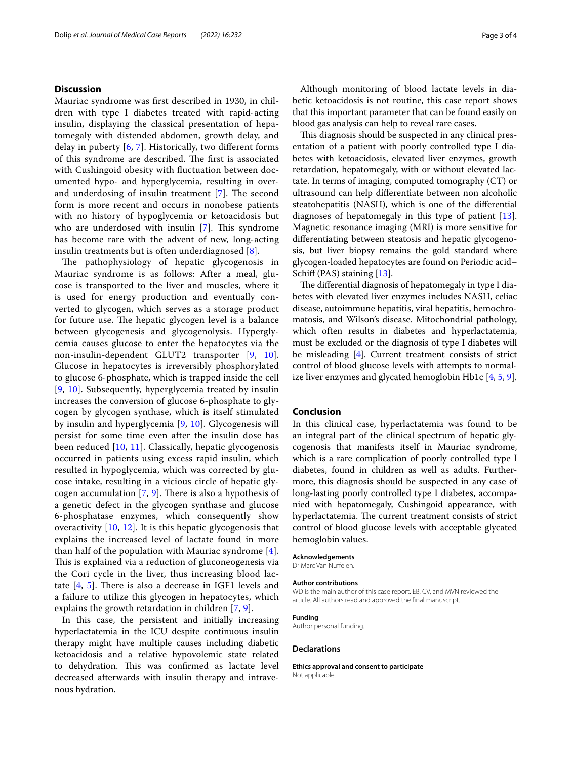#### **Discussion**

Mauriac syndrome was frst described in 1930, in children with type I diabetes treated with rapid-acting insulin, displaying the classical presentation of hepatomegaly with distended abdomen, growth delay, and delay in puberty [\[6](#page-3-5), [7\]](#page-3-6). Historically, two diferent forms of this syndrome are described. The first is associated with Cushingoid obesity with fuctuation between documented hypo- and hyperglycemia, resulting in overand underdosing of insulin treatment  $[7]$  $[7]$ . The second form is more recent and occurs in nonobese patients with no history of hypoglycemia or ketoacidosis but who are underdosed with insulin  $[7]$  $[7]$ . This syndrome has become rare with the advent of new, long-acting insulin treatments but is often underdiagnosed [[8\]](#page-3-7).

The pathophysiology of hepatic glycogenosis in Mauriac syndrome is as follows: After a meal, glucose is transported to the liver and muscles, where it is used for energy production and eventually converted to glycogen, which serves as a storage product for future use. The hepatic glycogen level is a balance between glycogenesis and glycogenolysis. Hyperglycemia causes glucose to enter the hepatocytes via the non-insulin-dependent GLUT2 transporter [[9](#page-3-8), [10\]](#page-3-9). Glucose in hepatocytes is irreversibly phosphorylated to glucose 6-phosphate, which is trapped inside the cell [[9](#page-3-8), [10\]](#page-3-9). Subsequently, hyperglycemia treated by insulin increases the conversion of glucose 6-phosphate to glycogen by glycogen synthase, which is itself stimulated by insulin and hyperglycemia [[9,](#page-3-8) [10\]](#page-3-9). Glycogenesis will persist for some time even after the insulin dose has been reduced [\[10](#page-3-9), [11\]](#page-3-10). Classically, hepatic glycogenosis occurred in patients using excess rapid insulin, which resulted in hypoglycemia, which was corrected by glucose intake, resulting in a vicious circle of hepatic glycogen accumulation  $[7, 9]$  $[7, 9]$  $[7, 9]$  $[7, 9]$ . There is also a hypothesis of a genetic defect in the glycogen synthase and glucose 6-phosphatase enzymes, which consequently show overactivity [\[10](#page-3-9), [12\]](#page-3-11). It is this hepatic glycogenosis that explains the increased level of lactate found in more than half of the population with Mauriac syndrome [[4\]](#page-3-4). This is explained via a reduction of gluconeogenesis via the Cori cycle in the liver, thus increasing blood lactate  $[4, 5]$  $[4, 5]$  $[4, 5]$ . There is also a decrease in IGF1 levels and a failure to utilize this glycogen in hepatocytes, which explains the growth retardation in children [\[7](#page-3-6), [9](#page-3-8)].

In this case, the persistent and initially increasing hyperlactatemia in the ICU despite continuous insulin therapy might have multiple causes including diabetic ketoacidosis and a relative hypovolemic state related to dehydration. This was confirmed as lactate level decreased afterwards with insulin therapy and intravenous hydration.

Although monitoring of blood lactate levels in diabetic ketoacidosis is not routine, this case report shows that this important parameter that can be found easily on blood gas analysis can help to reveal rare cases.

This diagnosis should be suspected in any clinical presentation of a patient with poorly controlled type I diabetes with ketoacidosis, elevated liver enzymes, growth retardation, hepatomegaly, with or without elevated lactate. In terms of imaging, computed tomography (CT) or ultrasound can help diferentiate between non alcoholic steatohepatitis (NASH), which is one of the diferential diagnoses of hepatomegaly in this type of patient [\[13](#page-3-12)]. Magnetic resonance imaging (MRI) is more sensitive for diferentiating between steatosis and hepatic glycogenosis, but liver biopsy remains the gold standard where glycogen-loaded hepatocytes are found on Periodic acid– Schiff (PAS) staining [\[13\]](#page-3-12).

The differential diagnosis of hepatomegaly in type I diabetes with elevated liver enzymes includes NASH, celiac disease, autoimmune hepatitis, viral hepatitis, hemochromatosis, and Wilson's disease. Mitochondrial pathology, which often results in diabetes and hyperlactatemia, must be excluded or the diagnosis of type I diabetes will be misleading [[4\]](#page-3-4). Current treatment consists of strict control of blood glucose levels with attempts to normalize liver enzymes and glycated hemoglobin Hb1c [\[4](#page-3-4), [5](#page-3-2), [9\]](#page-3-8).

#### **Conclusion**

In this clinical case, hyperlactatemia was found to be an integral part of the clinical spectrum of hepatic glycogenosis that manifests itself in Mauriac syndrome, which is a rare complication of poorly controlled type I diabetes, found in children as well as adults. Furthermore, this diagnosis should be suspected in any case of long-lasting poorly controlled type I diabetes, accompanied with hepatomegaly, Cushingoid appearance, with hyperlactatemia. The current treatment consists of strict control of blood glucose levels with acceptable glycated hemoglobin values.

#### **Acknowledgements**

Dr Marc Van Nufelen.

#### **Author contributions**

WD is the main author of this case report. EB, CV, and MVN reviewed the article. All authors read and approved the fnal manuscript.

#### **Funding**

Author personal funding.

#### **Declarations**

**Ethics approval and consent to participate** Not applicable.